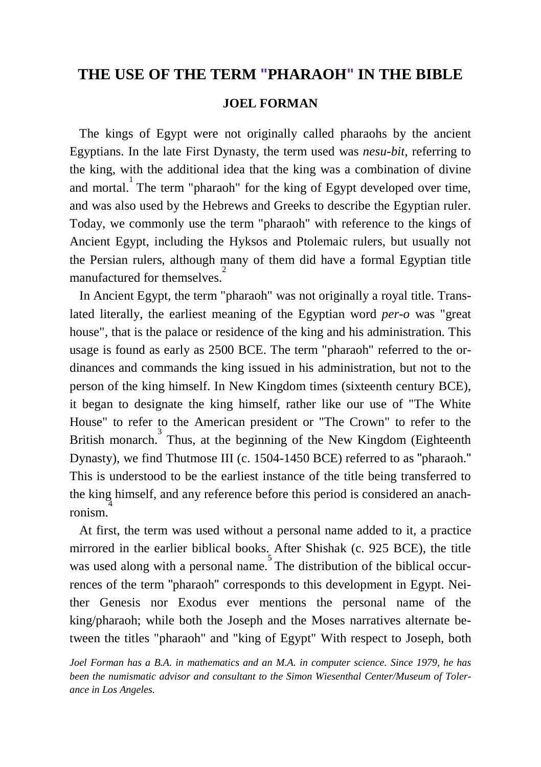## **THE USE OF THE TERM "PHARAOH" IN THE BIBLE**

## **JOEL FORMAN**

 The kings of Egypt were not originally called pharaohs by the ancient Egyptians. In the late First Dynasty, the term used was *nesu-bit*, referring to the king, with the additional idea that the king was a combination of divine and mortal.<sup>1</sup> The term "pharaoh" for the king of Egypt developed over time, and was also used by the Hebrews and Greeks to describe the Egyptian ruler. Today, we commonly use the term "pharaoh" with reference to the kings of Ancient Egypt, including the Hyksos and Ptolemaic rulers, but usually not the Persian rulers, although many of them did have a formal Egyptian title manufactured for themselves.<sup>2</sup>

 In Ancient Egypt, the term "pharaoh" was not originally a royal title. Translated literally, the earliest meaning of the Egyptian word *per-o* was "great house", that is the palace or residence of the king and his administration. This usage is found as early as 2500 BCE. The term "pharaoh" referred to the ordinances and commands the king issued in his administration, but not to the person of the king himself. In New Kingdom times (sixteenth century BCE), it began to designate the king himself, rather like our use of "The White House" to refer to the American president or "The Crown" to refer to the British monarch.<sup>3</sup> Thus, at the beginning of the New Kingdom (Eighteenth Dynasty), we find Thutmose III (c. 1504-1450 BCE) referred to as "pharaoh." This is understood to be the earliest instance of the title being transferred to the king himself, and any reference before this period is considered an anachronism.<sup>4</sup>

 At first, the term was used without a personal name added to it, a practice mirrored in the earlier biblical books. After Shishak (c. 925 BCE), the title was used along with a personal name. The distribution of the biblical occurrences of the term "pharaoh" corresponds to this development in Egypt. Neither Genesis nor Exodus ever mentions the personal name of the king/pharaoh; while both the Joseph and the Moses narratives alternate between the titles "pharaoh" and "king of Egypt" With respect to Joseph, both

*Joel Forman has a B.A. in mathematics and an M.A. in computer science. Since 1979, he has been the numismatic advisor and consultant to the Simon Wiesenthal Center/Museum of Tolerance in Los Angeles.*